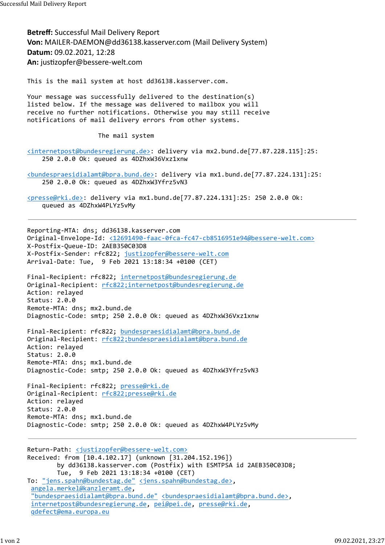Betreff: Successful Mail Delivery Report Von: MAILER-DAEMON@dd36138.kasserver.com (Mail Delivery System) Datum: 09.02.2021, 12:28 An: justizopfer@bessere-welt.com Successful Mail Delivery Report<br>**Betreff:** Successful Mail Delivery Report<br>**Von:** MAILER-DAEMON@dd36138.kasserver.com (Mail Delivery System)

This is the mail system at host dd36138.kasserver.com.

Your message was successfully delivered to the destination(s) listed below. If the message was delivered to mailbox you will receive no further notifications. Otherwise you may still receive notifications of mail delivery errors from other systems.

The mail system

<internetpost@bundesregierung.de>: delivery via mx2.bund.de[77.87.228.115]:25: 250 2.0.0 Ok: queued as 4DZhxW36Vxz1xnw

<bundespraesidialamt@bpra.bund.de>: delivery via mx1.bund.de[77.87.224.131]:25: 250 2.0.0 Ok: queued as 4DZhxW3Yfrz5vN3

<presse@rki.de>: delivery via mx1.bund.de[77.87.224.131]:25: 250 2.0.0 Ok: queued as 4DZhxW4PLYz5vMy

Reporting-MTA: dns; dd36138.kasserver.com Original-Envelope-Id: <12691490-faac-0fca-fc47-cb8516951e94@bessere-welt.com> X-Postfix-Queue-ID: 2AEB350C03D8 X-Postfix-Sender: rfc822; justizopfer@bessere-welt.com Arrival-Date: Tue, 9 Feb 2021 13:18:34 +0100 (CET)

Final-Recipient: rfc822; internetpost@bundesregierung.de Original-Recipient: rfc822;internetpost@bundesregierung.de Action: relayed Status: 2.0.0 Remote-MTA: dns; mx2.bund.de Diagnostic-Code: smtp; 250 2.0.0 Ok: queued as 4DZhxW36Vxz1xnw

Final-Recipient: rfc822; bundespraesidialamt@bpra.bund.de Original-Recipient: rfc822;bundespraesidialamt@bpra.bund.de Action: relayed Status: 2.0.0 Remote-MTA: dns; mx1.bund.de Diagnostic-Code: smtp; 250 2.0.0 Ok: queued as 4DZhxW3Yfrz5vN3

Final-Recipient: rfc822; presse@rki.de Original-Recipient: rfc822;presse@rki.de Action: relayed Status: 2.0.0 Remote-MTA: dns; mx1.bund.de Diagnostic-Code: smtp; 250 2.0.0 Ok: queued as 4DZhxW4PLYz5vMy

Return-Path: <justizopfer@bessere-welt.com> Received: from [10.4.102.17] (unknown [31.204.152.196]) by dd36138.kasserver.com (Postfix) with ESMTPSA id 2AEB350C03D8; Tue, 9 Feb 2021 13:18:34 +0100 (CET) To: "jens.spahn@bundestag.de" <jens.spahn@bundestag.de>, angela.merkel@kanzleramt.de, "bundespraesidialamt@bpra.bund.de" <bundespraesidialamt@bpra.bund.de>, internetpost@bundesregierung.de, pei@pei.de, presse@rki.de, qdefect@ema.europa.eu